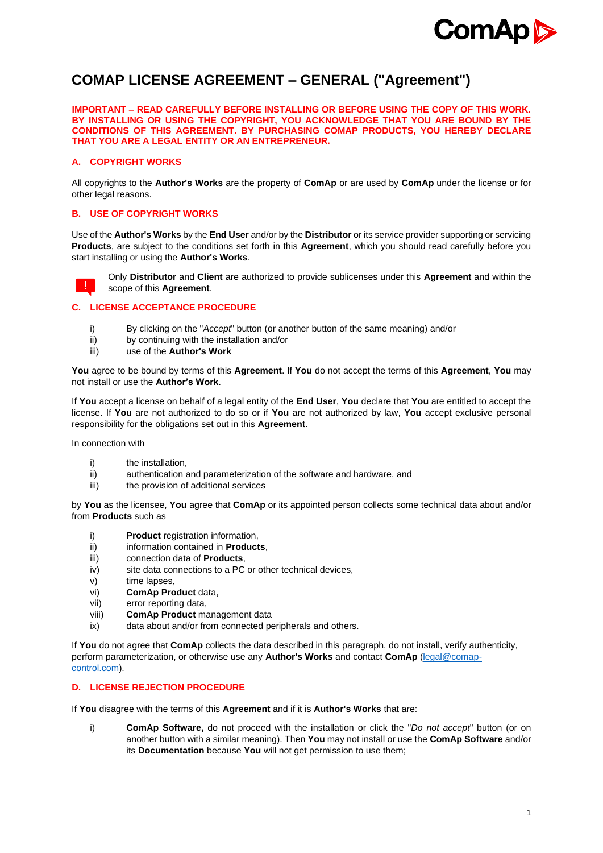

# **COMAP LICENSE AGREEMENT – GENERAL ("Agreement")**

**IMPORTANT – READ CAREFULLY BEFORE INSTALLING OR BEFORE USING THE COPY OF THIS WORK. BY INSTALLING OR USING THE COPYRIGHT, YOU ACKNOWLEDGE THAT YOU ARE BOUND BY THE CONDITIONS OF THIS AGREEMENT. BY PURCHASING COMAP PRODUCTS, YOU HEREBY DECLARE THAT YOU ARE A LEGAL ENTITY OR AN ENTREPRENEUR.**

# **A. COPYRIGHT WORKS**

All copyrights to the **Author's Works** are the property of **ComAp** or are used by **ComAp** under the license or for other legal reasons.

# **B. USE OF COPYRIGHT WORKS**

Use of the **Author's Works** by the **End User** and/or by the **Distributor** or its service provider supporting or servicing **Products**, are subject to the conditions set forth in this **Agreement**, which you should read carefully before you start installing or using the **Author's Works**.



Only **Distributor** and **Client** are authorized to provide sublicenses under this **Agreement** and within the scope of this **Agreement**.

# **C. LICENSE ACCEPTANCE PROCEDURE**

- i) By clicking on the "*Accept*" button (or another button of the same meaning) and/or
- ii) by continuing with the installation and/or
- iii) use of the **Author's Work**

**You** agree to be bound by terms of this **Agreement**. If **You** do not accept the terms of this **Agreement**, **You** may not install or use the **Author's Work**.

If **You** accept a license on behalf of a legal entity of the **End User**, **You** declare that **You** are entitled to accept the license. If **You** are not authorized to do so or if **You** are not authorized by law, **You** accept exclusive personal responsibility for the obligations set out in this **Agreement**.

In connection with

- i) the installation.
- ii) authentication and parameterization of the software and hardware, and
- iii) the provision of additional services

by **You** as the licensee, **You** agree that **ComAp** or its appointed person collects some technical data about and/or from **Products** such as

- i) **Product** registration information.
- ii) information contained in **Products**,
- iii) connection data of **Products**,
- iv) site data connections to a PC or other technical devices,
- v) time lapses,
- vi) **ComAp Product** data,
- vii) error reporting data,
- viii) **ComAp Product** management data
- ix) data about and/or from connected peripherals and others.

If **You** do not agree that **ComAp** collects the data described in this paragraph, do not install, verify authenticity, perform parameterization, or otherwise use any **Author's Works** and contact **ComAp** [\(legal@comap](mailto:legal@comap-control.com)[control.com\)](mailto:legal@comap-control.com).

# **D. LICENSE REJECTION PROCEDURE**

If **You** disagree with the terms of this **Agreement** and if it is **Author's Works** that are:

i) **ComAp Software,** do not proceed with the installation or click the "*Do not accept*" button (or on another button with a similar meaning). Then **You** may not install or use the **ComAp Software** and/or its **Documentation** because **You** will not get permission to use them;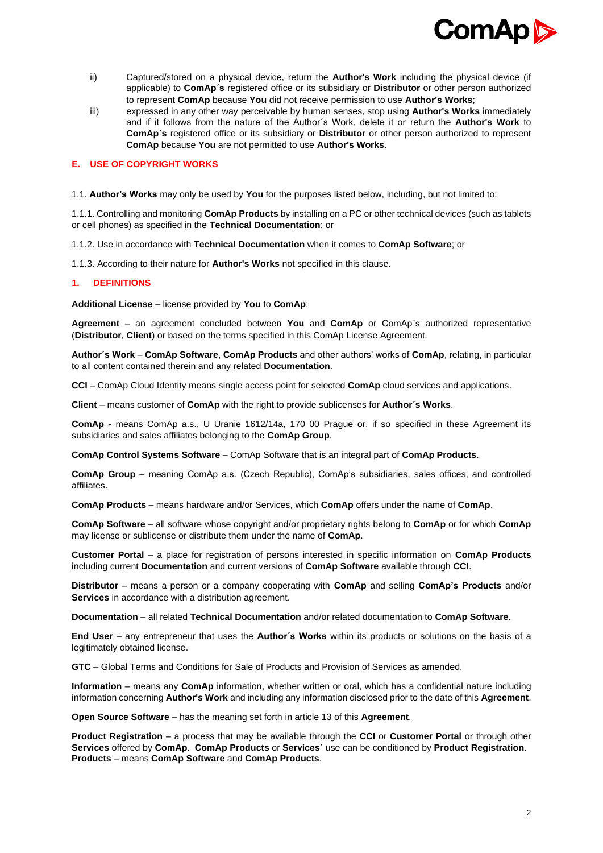

- ii) Captured/stored on a physical device, return the **Author's Work** including the physical device (if applicable) to **ComAp´s** registered office or its subsidiary or **Distributor** or other person authorized to represent **ComAp** because **You** did not receive permission to use **Author's Works**;
- iii) expressed in any other way perceivable by human senses, stop using **Author's Works** immediately and if it follows from the nature of the Author´s Work, delete it or return the **Author's Work** to **ComAp´s** registered office or its subsidiary or **Distributor** or other person authorized to represent **ComAp** because **You** are not permitted to use **Author's Works**.

## **E. USE OF COPYRIGHT WORKS**

1.1. **Author's Works** may only be used by **You** for the purposes listed below, including, but not limited to:

1.1.1. Controlling and monitoring **ComAp Products** by installing on a PC or other technical devices (such as tablets or cell phones) as specified in the **Technical Documentation**; or

1.1.2. Use in accordance with **Technical Documentation** when it comes to **ComAp Software**; or

1.1.3. According to their nature for **Author's Works** not specified in this clause.

## **1. DEFINITIONS**

**Additional License** – license provided by **You** to **ComAp**;

**Agreement** – an agreement concluded between **You** and **ComAp** or ComAp´s authorized representative (**Distributor**, **Client**) or based on the terms specified in this ComAp License Agreement.

**Author´s Work** – **ComAp Software**, **ComAp Products** and other authors' works of **ComAp**, relating, in particular to all content contained therein and any related **Documentation**.

**CCI** – ComAp Cloud Identity means single access point for selected **ComAp** cloud services and applications.

**Client** – means customer of **ComAp** with the right to provide sublicenses for **Author´s Works**.

**ComAp** - means ComAp a.s., U Uranie 1612/14a, 170 00 Prague or, if so specified in these Agreement its subsidiaries and sales affiliates belonging to the **ComAp Group**.

**ComAp Control Systems Software** – ComAp Software that is an integral part of **ComAp Products**.

**ComAp Group** – meaning ComAp a.s. (Czech Republic), ComAp's subsidiaries, sales offices, and controlled affiliates.

**ComAp Products** – means hardware and/or Services, which **ComAp** offers under the name of **ComAp**.

**ComAp Software** – all software whose copyright and/or proprietary rights belong to **ComAp** or for which **ComAp** may license or sublicense or distribute them under the name of **ComAp**.

**Customer Portal** – a place for registration of persons interested in specific information on **ComAp Products**  including current **Documentation** and current versions of **ComAp Software** available through **CCI**.

**Distributor** – means a person or a company cooperating with **ComAp** and selling **ComAp's Products** and/or **Services** in accordance with a distribution agreement.

**Documentation** – all related **Technical Documentation** and/or related documentation to **ComAp Software**.

**End User** – any entrepreneur that uses the **Author´s Works** within its products or solutions on the basis of a legitimately obtained license.

**GTC** – Global Terms and Conditions for Sale of Products and Provision of Services as amended.

**Information** – means any **ComAp** information, whether written or oral, which has a confidential nature including information concerning **Author's Work** and including any information disclosed prior to the date of this **Agreement**.

**Open Source Software** – has the meaning set forth in article 13 of this **Agreement**.

**Product Registration** – a process that may be available through the **CCI** or **Customer Portal** or through other **Services** offered by **ComAp**. **ComAp Products** or **Services´** use can be conditioned by **Product Registration**. **Products** – means **ComAp Software** and **ComAp Products**.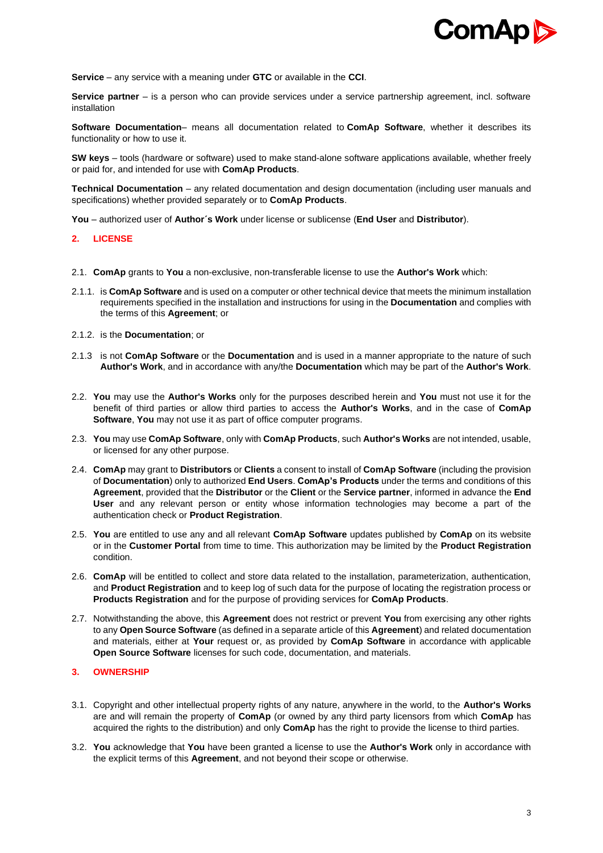

**Service** – any service with a meaning under **GTC** or available in the **CCI**.

**Service partner** – is a person who can provide services under a service partnership agreement, incl. software installation

**Software Documentation**– means all documentation related to **ComAp Software**, whether it describes its functionality or how to use it.

**SW keys** – tools (hardware or software) used to make stand-alone software applications available, whether freely or paid for, and intended for use with **ComAp Products**.

**Technical Documentation** – any related documentation and design documentation (including user manuals and specifications) whether provided separately or to **ComAp Products**.

**You** – authorized user of **Author´s Work** under license or sublicense (**End User** and **Distributor**).

## **2. LICENSE**

- 2.1. **ComAp** grants to **You** a non-exclusive, non-transferable license to use the **Author's Work** which:
- 2.1.1. is **ComAp Software** and is used on a computer or other technical device that meets the minimum installation requirements specified in the installation and instructions for using in the **Documentation** and complies with the terms of this **Agreement**; or
- 2.1.2. is the **Documentation**; or
- 2.1.3 is not **ComAp Software** or the **Documentation** and is used in a manner appropriate to the nature of such **Author's Work**, and in accordance with any/the **Documentation** which may be part of the **Author's Work**.
- 2.2. **You** may use the **Author's Works** only for the purposes described herein and **You** must not use it for the benefit of third parties or allow third parties to access the **Author's Works**, and in the case of **ComAp Software**, **You** may not use it as part of office computer programs.
- 2.3. **You** may use **ComAp Software**, only with **ComAp Products**, such **Author's Works** are not intended, usable, or licensed for any other purpose.
- 2.4. **ComAp** may grant to **Distributors** or **Clients** a consent to install of **ComAp Software** (including the provision of **Documentation**) only to authorized **End Users**. **ComAp's Products** under the terms and conditions of this **Agreement**, provided that the **Distributor** or the **Client** or the **Service partner**, informed in advance the **End User** and any relevant person or entity whose information technologies may become a part of the authentication check or **Product Registration**.
- 2.5. **You** are entitled to use any and all relevant **ComAp Software** updates published by **ComAp** on its website or in the **Customer Portal** from time to time. This authorization may be limited by the **Product Registration** condition.
- 2.6. **ComAp** will be entitled to collect and store data related to the installation, parameterization, authentication, and **Product Registration** and to keep log of such data for the purpose of locating the registration process or **Products Registration** and for the purpose of providing services for **ComAp Products**.
- 2.7. Notwithstanding the above, this **Agreement** does not restrict or prevent **You** from exercising any other rights to any **Open Source Software** (as defined in a separate article of this **Agreement**) and related documentation and materials, either at **Your** request or, as provided by **ComAp Software** in accordance with applicable **Open Source Software** licenses for such code, documentation, and materials.

## **3. OWNERSHIP**

- 3.1. Copyright and other intellectual property rights of any nature, anywhere in the world, to the **Author's Works**  are and will remain the property of **ComAp** (or owned by any third party licensors from which **ComAp** has acquired the rights to the distribution) and only **ComAp** has the right to provide the license to third parties.
- 3.2. **You** acknowledge that **You** have been granted a license to use the **Author's Work** only in accordance with the explicit terms of this **Agreement**, and not beyond their scope or otherwise.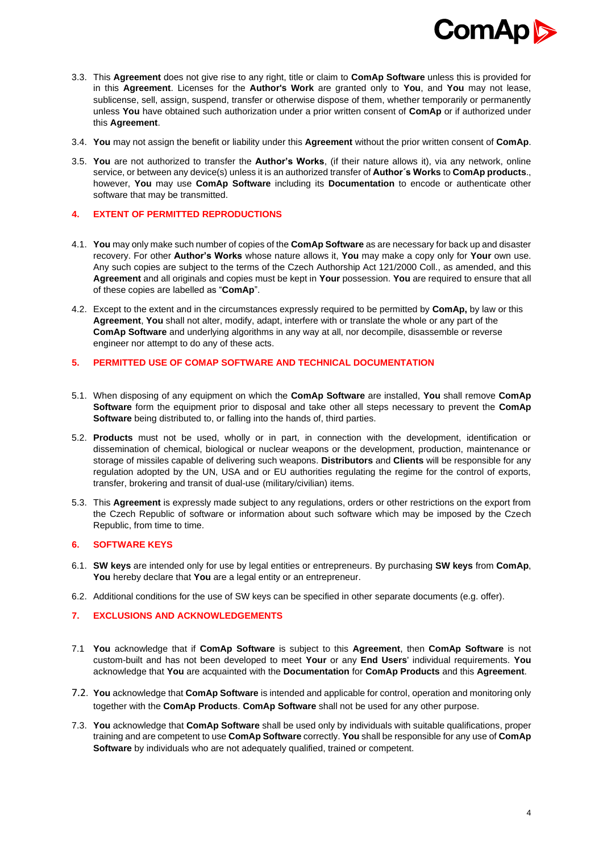

- 3.3. This **Agreement** does not give rise to any right, title or claim to **ComAp Software** unless this is provided for in this **Agreement**. Licenses for the **Author's Work** are granted only to **You**, and **You** may not lease, sublicense, sell, assign, suspend, transfer or otherwise dispose of them, whether temporarily or permanently unless **You** have obtained such authorization under a prior written consent of **ComAp** or if authorized under this **Agreement**.
- 3.4. **You** may not assign the benefit or liability under this **Agreement** without the prior written consent of **ComAp**.
- 3.5. **You** are not authorized to transfer the **Author's Works**, (if their nature allows it), via any network, online service, or between any device(s) unless it is an authorized transfer of **Author´s Works** to **ComAp products**., however, **You** may use **ComAp Software** including its **Documentation** to encode or authenticate other software that may be transmitted.

## **4. EXTENT OF PERMITTED REPRODUCTIONS**

- 4.1. **You** may only make such number of copies of the **ComAp Software** as are necessary for back up and disaster recovery. For other **Author's Works** whose nature allows it, **You** may make a copy only for **Your** own use. Any such copies are subject to the terms of the Czech Authorship Act 121/2000 Coll., as amended, and this **Agreement** and all originals and copies must be kept in **Your** possession. **You** are required to ensure that all of these copies are labelled as "**ComAp**".
- 4.2. Except to the extent and in the circumstances expressly required to be permitted by **ComAp,** by law or this **Agreement**, **You** shall not alter, modify, adapt, interfere with or translate the whole or any part of the **ComAp Software** and underlying algorithms in any way at all, nor decompile, disassemble or reverse engineer nor attempt to do any of these acts.

# **5. PERMITTED USE OF COMAP SOFTWARE AND TECHNICAL DOCUMENTATION**

- 5.1. When disposing of any equipment on which the **ComAp Software** are installed, **You** shall remove **ComAp Software** form the equipment prior to disposal and take other all steps necessary to prevent the **ComAp Software** being distributed to, or falling into the hands of, third parties.
- 5.2. **Products** must not be used, wholly or in part, in connection with the development, identification or dissemination of chemical, biological or nuclear weapons or the development, production, maintenance or storage of missiles capable of delivering such weapons. **Distributors** and **Clients** will be responsible for any regulation adopted by the UN, USA and or EU authorities regulating the regime for the control of exports, transfer, brokering and transit of dual-use (military/civilian) items.
- 5.3. This **Agreement** is expressly made subject to any regulations, orders or other restrictions on the export from the Czech Republic of software or information about such software which may be imposed by the Czech Republic, from time to time.

## **6. SOFTWARE KEYS**

- 6.1. **SW keys** are intended only for use by legal entities or entrepreneurs. By purchasing **SW keys** from **ComAp**, **You** hereby declare that **You** are a legal entity or an entrepreneur.
- 6.2. Additional conditions for the use of SW keys can be specified in other separate documents (e.g. offer).

# **7. EXCLUSIONS AND ACKNOWLEDGEMENTS**

- 7.1 **You** acknowledge that if **ComAp Software** is subject to this **Agreement**, then **ComAp Software** is not custom-built and has not been developed to meet **Your** or any **End Users**' individual requirements. **You**  acknowledge that **You** are acquainted with the **Documentation** for **ComAp Products** and this **Agreement**.
- 7.2. **You** acknowledge that **ComAp Software** is intended and applicable for control, operation and monitoring only together with the **ComAp Products**. **ComAp Software** shall not be used for any other purpose.
- 7.3. **You** acknowledge that **ComAp Software** shall be used only by individuals with suitable qualifications, proper training and are competent to use **ComAp Software** correctly. **You** shall be responsible for any use of **ComAp Software** by individuals who are not adequately qualified, trained or competent.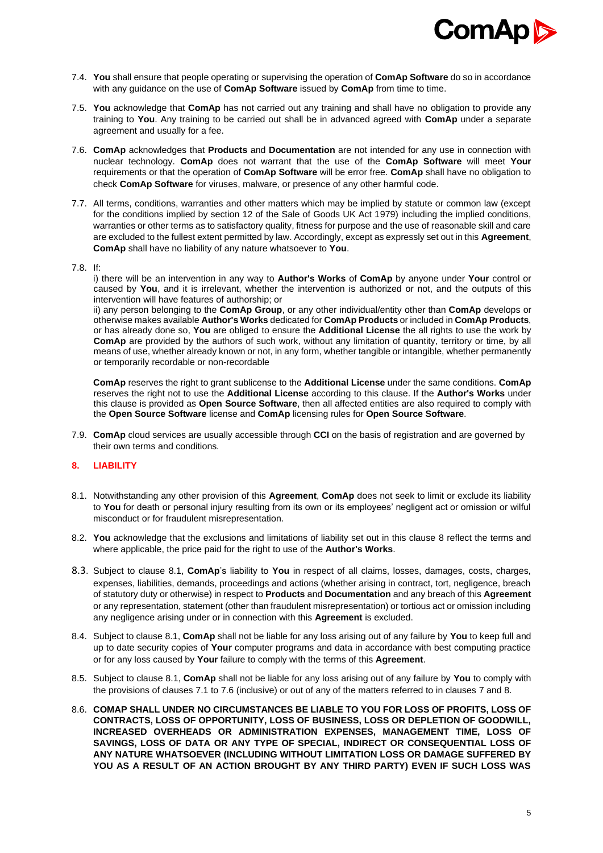

- 7.4. **You** shall ensure that people operating or supervising the operation of **ComAp Software** do so in accordance with any guidance on the use of **ComAp Software** issued by **ComAp** from time to time.
- 7.5. **You** acknowledge that **ComAp** has not carried out any training and shall have no obligation to provide any training to **You**. Any training to be carried out shall be in advanced agreed with **ComAp** under a separate agreement and usually for a fee.
- 7.6. **ComAp** acknowledges that **Products** and **Documentation** are not intended for any use in connection with nuclear technology. **ComAp** does not warrant that the use of the **ComAp Software** will meet **Your**  requirements or that the operation of **ComAp Software** will be error free. **ComAp** shall have no obligation to check **ComAp Software** for viruses, malware, or presence of any other harmful code.
- 7.7. All terms, conditions, warranties and other matters which may be implied by statute or common law (except for the conditions implied by section 12 of the Sale of Goods UK Act 1979) including the implied conditions, warranties or other terms as to satisfactory quality, fitness for purpose and the use of reasonable skill and care are excluded to the fullest extent permitted by law. Accordingly, except as expressly set out in this **Agreement**, **ComAp** shall have no liability of any nature whatsoever to **You**.
- 7.8. If:

i) there will be an intervention in any way to **Author's Works** of **ComAp** by anyone under **Your** control or caused by **You**, and it is irrelevant, whether the intervention is authorized or not, and the outputs of this intervention will have features of authorship; or

ii) any person belonging to the **ComAp Group**, or any other individual/entity other than **ComAp** develops or otherwise makes available **Author's Works** dedicated for **ComAp Products** or included in **ComAp Products**, or has already done so, **You** are obliged to ensure the **Additional License** the all rights to use the work by **ComAp** are provided by the authors of such work, without any limitation of quantity, territory or time, by all means of use, whether already known or not, in any form, whether tangible or intangible, whether permanently or temporarily recordable or non-recordable

**ComAp** reserves the right to grant sublicense to the **Additional License** under the same conditions. **ComAp** reserves the right not to use the **Additional License** according to this clause. If the **Author's Works** under this clause is provided as **Open Source Software**, then all affected entities are also required to comply with the **Open Source Software** license and **ComAp** licensing rules for **Open Source Software**.

7.9. **ComAp** cloud services are usually accessible through **CCI** on the basis of registration and are governed by their own terms and conditions.

## **8. LIABILITY**

- 8.1. Notwithstanding any other provision of this **Agreement**, **ComAp** does not seek to limit or exclude its liability to **You** for death or personal injury resulting from its own or its employees' negligent act or omission or wilful misconduct or for fraudulent misrepresentation.
- 8.2. **You** acknowledge that the exclusions and limitations of liability set out in this clause 8 reflect the terms and where applicable, the price paid for the right to use of the **Author's Works**.
- 8.3. Subject to clause 8.1, **ComAp**'s liability to **You** in respect of all claims, losses, damages, costs, charges, expenses, liabilities, demands, proceedings and actions (whether arising in contract, tort, negligence, breach of statutory duty or otherwise) in respect to **Products** and **Documentation** and any breach of this **Agreement**  or any representation, statement (other than fraudulent misrepresentation) or tortious act or omission including any negligence arising under or in connection with this **Agreement** is excluded.
- 8.4. Subject to clause 8.1, **ComAp** shall not be liable for any loss arising out of any failure by **You** to keep full and up to date security copies of **Your** computer programs and data in accordance with best computing practice or for any loss caused by **Your** failure to comply with the terms of this **Agreement**.
- 8.5. Subject to clause 8.1, **ComAp** shall not be liable for any loss arising out of any failure by **You** to comply with the provisions of clauses 7.1 to 7.6 (inclusive) or out of any of the matters referred to in clauses 7 and 8.
- 8.6. **COMAP SHALL UNDER NO CIRCUMSTANCES BE LIABLE TO YOU FOR LOSS OF PROFITS, LOSS OF CONTRACTS, LOSS OF OPPORTUNITY, LOSS OF BUSINESS, LOSS OR DEPLETION OF GOODWILL, INCREASED OVERHEADS OR ADMINISTRATION EXPENSES, MANAGEMENT TIME, LOSS OF SAVINGS, LOSS OF DATA OR ANY TYPE OF SPECIAL, INDIRECT OR CONSEQUENTIAL LOSS OF ANY NATURE WHATSOEVER (INCLUDING WITHOUT LIMITATION LOSS OR DAMAGE SUFFERED BY YOU AS A RESULT OF AN ACTION BROUGHT BY ANY THIRD PARTY) EVEN IF SUCH LOSS WAS**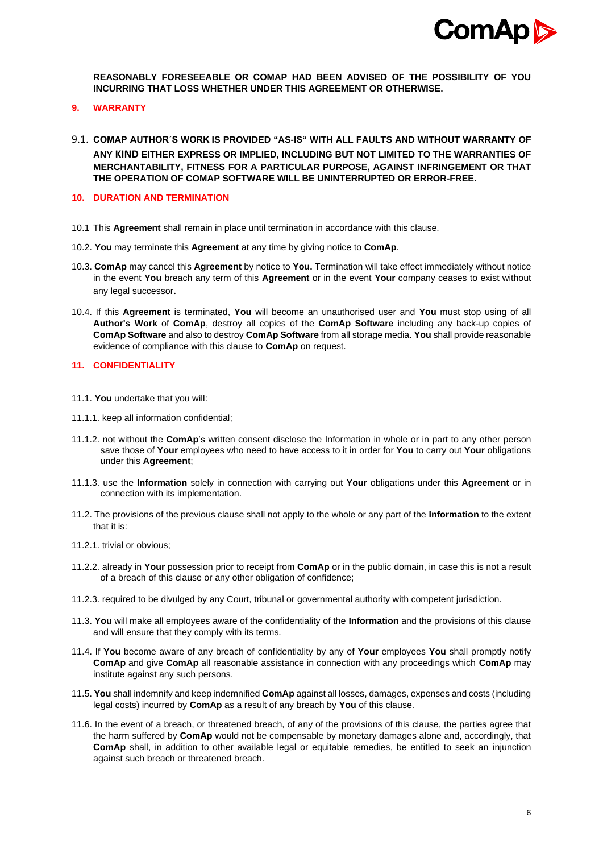

**REASONABLY FORESEEABLE OR COMAP HAD BEEN ADVISED OF THE POSSIBILITY OF YOU INCURRING THAT LOSS WHETHER UNDER THIS AGREEMENT OR OTHERWISE.**

- **9. WARRANTY**
- 9.1. **COMAP AUTHOR´S WORK IS PROVIDED "AS-IS" WITH ALL FAULTS AND WITHOUT WARRANTY OF ANY KIND EITHER EXPRESS OR IMPLIED, INCLUDING BUT NOT LIMITED TO THE WARRANTIES OF MERCHANTABILITY, FITNESS FOR A PARTICULAR PURPOSE, AGAINST INFRINGEMENT OR THAT THE OPERATION OF COMAP SOFTWARE WILL BE UNINTERRUPTED OR ERROR-FREE.**

## **10. DURATION AND TERMINATION**

- 10.1 This **Agreement** shall remain in place until termination in accordance with this clause.
- 10.2. **You** may terminate this **Agreement** at any time by giving notice to **ComAp**.
- 10.3. **ComAp** may cancel this **Agreement** by notice to **You.** Termination will take effect immediately without notice in the event **You** breach any term of this **Agreement** or in the event **Your** company ceases to exist without any legal successor.
- 10.4. If this **Agreement** is terminated, **You** will become an unauthorised user and **You** must stop using of all **Author's Work** of **ComAp**, destroy all copies of the **ComAp Software** including any back-up copies of **ComAp Software** and also to destroy **ComAp Software** from all storage media. **You** shall provide reasonable evidence of compliance with this clause to **ComAp** on request.

## **11. CONFIDENTIALITY**

- 11.1. **You** undertake that you will:
- 11.1.1. keep all information confidential;
- 11.1.2. not without the **ComAp**'s written consent disclose the Information in whole or in part to any other person save those of **Your** employees who need to have access to it in order for **You** to carry out **Your** obligations under this **Agreement**;
- 11.1.3. use the **Information** solely in connection with carrying out **Your** obligations under this **Agreement** or in connection with its implementation.
- 11.2. The provisions of the previous clause shall not apply to the whole or any part of the **Information** to the extent that it is:
- 11.2.1. trivial or obvious;
- 11.2.2. already in **Your** possession prior to receipt from **ComAp** or in the public domain, in case this is not a result of a breach of this clause or any other obligation of confidence;
- 11.2.3. required to be divulged by any Court, tribunal or governmental authority with competent jurisdiction.
- 11.3. **You** will make all employees aware of the confidentiality of the **Information** and the provisions of this clause and will ensure that they comply with its terms.
- 11.4. If **You** become aware of any breach of confidentiality by any of **Your** employees **You** shall promptly notify **ComAp** and give **ComAp** all reasonable assistance in connection with any proceedings which **ComAp** may institute against any such persons.
- 11.5. **You** shall indemnify and keep indemnified **ComAp** against all losses, damages, expenses and costs (including legal costs) incurred by **ComAp** as a result of any breach by **You** of this clause.
- 11.6. In the event of a breach, or threatened breach, of any of the provisions of this clause, the parties agree that the harm suffered by **ComAp** would not be compensable by monetary damages alone and, accordingly, that **ComAp** shall, in addition to other available legal or equitable remedies, be entitled to seek an injunction against such breach or threatened breach.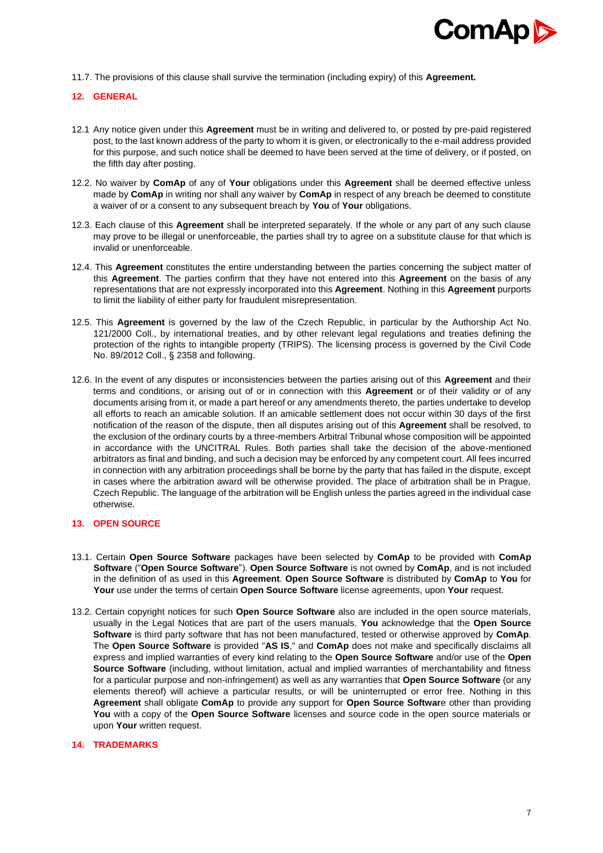

11.7. The provisions of this clause shall survive the termination (including expiry) of this **Agreement.**

## **12. GENERAL**

- 12.1 Any notice given under this **Agreement** must be in writing and delivered to, or posted by pre-paid registered post, to the last known address of the party to whom it is given, or electronically to the e-mail address provided for this purpose, and such notice shall be deemed to have been served at the time of delivery, or if posted, on the fifth day after posting.
- 12.2. No waiver by **ComAp** of any of **Your** obligations under this **Agreement** shall be deemed effective unless made by **ComAp** in writing nor shall any waiver by **ComAp** in respect of any breach be deemed to constitute a waiver of or a consent to any subsequent breach by **You** of **Your** obligations.
- 12.3. Each clause of this **Agreement** shall be interpreted separately. If the whole or any part of any such clause may prove to be illegal or unenforceable, the parties shall try to agree on a substitute clause for that which is invalid or unenforceable.
- 12.4. This **Agreement** constitutes the entire understanding between the parties concerning the subject matter of this **Agreement**. The parties confirm that they have not entered into this **Agreement** on the basis of any representations that are not expressly incorporated into this **Agreement**. Nothing in this **Agreement** purports to limit the liability of either party for fraudulent misrepresentation.
- 12.5. This **Agreement** is governed by the law of the Czech Republic, in particular by the Authorship Act No. 121/2000 Coll., by international treaties, and by other relevant legal regulations and treaties defining the protection of the rights to intangible property (TRIPS). The licensing process is governed by the Civil Code No. 89/2012 Coll., § 2358 and following.
- 12.6. In the event of any disputes or inconsistencies between the parties arising out of this **Agreement** and their terms and conditions, or arising out of or in connection with this **Agreement** or of their validity or of any documents arising from it, or made a part hereof or any amendments thereto, the parties undertake to develop all efforts to reach an amicable solution. If an amicable settlement does not occur within 30 days of the first notification of the reason of the dispute, then all disputes arising out of this **Agreement** shall be resolved, to the exclusion of the ordinary courts by a three-members Arbitral Tribunal whose composition will be appointed in accordance with the UNCITRAL Rules. Both parties shall take the decision of the above-mentioned arbitrators as final and binding, and such a decision may be enforced by any competent court. All fees incurred in connection with any arbitration proceedings shall be borne by the party that has failed in the dispute, except in cases where the arbitration award will be otherwise provided. The place of arbitration shall be in Prague, Czech Republic. The language of the arbitration will be English unless the parties agreed in the individual case otherwise.

#### **13. OPEN SOURCE**

- 13.1. Certain **Open Source Software** packages have been selected by **ComAp** to be provided with **ComAp Software** ("**Open Source Software**"). **Open Source Software** is not owned by **ComAp**, and is not included in the definition of as used in this **Agreement**. **Open Source Software** is distributed by **ComAp** to **You** for **Your** use under the terms of certain **Open Source Software** license agreements, upon **Your** request.
- 13.2. Certain copyright notices for such **Open Source Software** also are included in the open source materials, usually in the Legal Notices that are part of the users manuals. **You** acknowledge that the **Open Source Software** is third party software that has not been manufactured, tested or otherwise approved by **ComAp**. The **Open Source Software** is provided "**AS IS**," and **ComAp** does not make and specifically disclaims all express and implied warranties of every kind relating to the **Open Source Software** and/or use of the **Open Source Software** (including, without limitation, actual and implied warranties of merchantability and fitness for a particular purpose and non-infringement) as well as any warranties that **Open Source Software** (or any elements thereof) will achieve a particular results, or will be uninterrupted or error free. Nothing in this **Agreement** shall obligate **ComAp** to provide any support for **Open Source Softwar**e other than providing **You** with a copy of the **Open Source Software** licenses and source code in the open source materials or upon **Your** written request.

#### **14. TRADEMARKS**